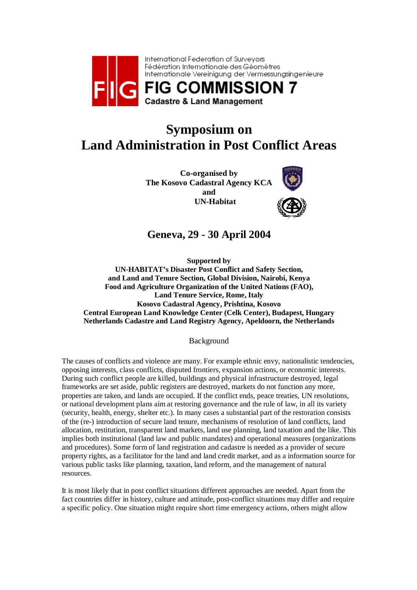

# **Symposium on Land Administration in Post Conflict Areas**

**Co-organised by The Kosovo Cadastral Agency KCA and UN-Habitat**



## **Geneva, 29 - 30 April 2004**

**Supported by** 

**UN-HABITAT's Disaster Post Conflict and Safety Section, and Land and Tenure Section, Global Division, Nairobi, Kenya Food and Agriculture Organization of the United Nations (FAO), Land Tenure Service, Rome, Italy Kosovo Cadastral Agency, Prishtina, Kosovo Central European Land Knowledge Center (Celk Center), Budapest, Hungary Netherlands Cadastre and Land Registry Agency, Apeldoorn, the Netherlands**

Background

The causes of conflicts and violence are many. For example ethnic envy, nationalistic tendencies, opposing interests, class conflicts, disputed frontiers, expansion actions, or economic interests. During such conflict people are killed, buildings and physical infrastructure destroyed, legal frameworks are set aside, public registers are destroyed, markets do not function any more, properties are taken, and lands are occupied. If the conflict ends, peace treaties, UN resolutions, or national development plans aim at restoring governance and the rule of law, in all its variety (security, health, energy, shelter etc.). In many cases a substantial part of the restoration consists of the (re-) introduction of secure land tenure, mechanisms of resolution of land conflicts, land allocation, restitution, transparent land markets, land use planning, land taxation and the like. This implies both institutional (land law and public mandates) and operational measures (organizations and procedures). Some form of land registration and cadastre is needed as a provider of secure property rights, as a facilitator for the land and land credit market, and as a information source for various public tasks like planning, taxation, land reform, and the management of natural resources.

It is most likely that in post conflict situations different approaches are needed. Apart from the fact countries differ in history, culture and attitude, post-conflict situations may differ and require a specific policy. One situation might require short time emergency actions, others might allow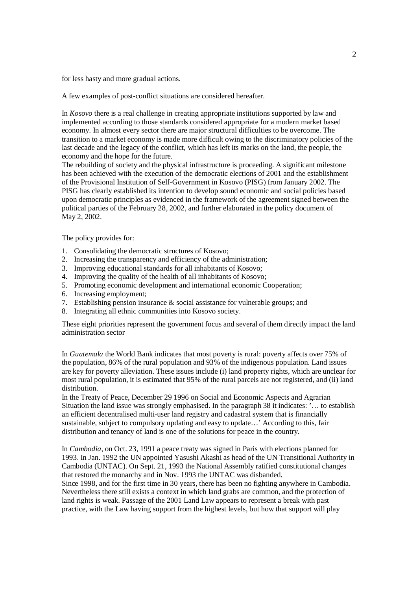for less hasty and more gradual actions.

A few examples of post-conflict situations are considered hereafter.

In *Kosovo* there is a real challenge in creating appropriate institutions supported by law and implemented according to those standards considered appropriate for a modern market based economy. In almost every sector there are major structural difficulties to be overcome. The transition to a market economy is made more difficult owing to the discriminatory policies of the last decade and the legacy of the conflict, which has left its marks on the land, the people, the economy and the hope for the future.

The rebuilding of society and the physical infrastructure is proceeding. A significant milestone has been achieved with the execution of the democratic elections of 2001 and the establishment of the Provisional Institution of Self-Government in Kosovo (PISG) from January 2002. The PISG has clearly established its intention to develop sound economic and social policies based upon democratic principles as evidenced in the framework of the agreement signed between the political parties of the February 28, 2002, and further elaborated in the policy document of May 2, 2002.

The policy provides for:

- 1. Consolidating the democratic structures of Kosovo;
- 2. Increasing the transparency and efficiency of the administration;
- 3. Improving educational standards for all inhabitants of Kosovo;
- 4. Improving the quality of the health of all inhabitants of Kosovo;
- 5. Promoting economic development and international economic Cooperation;
- 6. Increasing employment;
- 7. Establishing pension insurance & social assistance for vulnerable groups; and
- 8. Integrating all ethnic communities into Kosovo society.

These eight priorities represent the government focus and several of them directly impact the land administration sector

In *Guatemala* the World Bank indicates that most poverty is rural: poverty affects over 75% of the population, 86% of the rural population and 93% of the indigenous population. Land issues are key for poverty alleviation. These issues include (i) land property rights, which are unclear for most rural population, it is estimated that 95% of the rural parcels are not registered, and (ii) land distribution.

In the Treaty of Peace, December 29 1996 on Social and Economic Aspects and Agrarian Situation the land issue was strongly emphasised. In the paragraph 38 it indicates: '… to establish an efficient decentralised multi-user land registry and cadastral system that is financially sustainable, subject to compulsory updating and easy to update...' According to this, fair distribution and tenancy of land is one of the solutions for peace in the country.

In *Cambodia*, on Oct. 23, 1991 a peace treaty was signed in Paris with elections planned for 1993. In Jan. 1992 the UN appointed Yasushi Akashi as head of the UN Transitional Authority in Cambodia (UNTAC). On Sept. 21, 1993 the National Assembly ratified constitutional changes that restored the monarchy and in Nov. 1993 the UNTAC was disbanded.

Since 1998, and for the first time in 30 years, there has been no fighting anywhere in Cambodia. Nevertheless there still exists a context in which land grabs are common, and the protection of land rights is weak. Passage of the 2001 Land Law appears to represent a break with past practice, with the Law having support from the highest levels, but how that support will play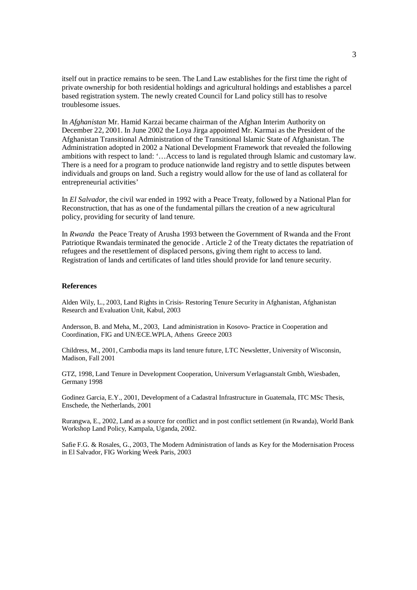itself out in practice remains to be seen. The Land Law establishes for the first time the right of private ownership for both residential holdings and agricultural holdings and establishes a parcel based registration system. The newly created Council for Land policy still has to resolve troublesome issues.

In *Afghanistan* Mr. Hamid Karzai became chairman of the Afghan Interim Authority on December 22, 2001. In June 2002 the Loya Jirga appointed Mr. Karmai as the President of the Afghanistan Transitional Administration of the Transitional Islamic State of Afghanistan. The Administration adopted in 2002 a National Development Framework that revealed the following ambitions with respect to land: '…Access to land is regulated through Islamic and customary law. There is a need for a program to produce nationwide land registry and to settle disputes between individuals and groups on land. Such a registry would allow for the use of land as collateral for entrepreneurial activities'

In *El Salvador,* the civil war ended in 1992 with a Peace Treaty, followed by a National Plan for Reconstruction, that has as one of the fundamental pillars the creation of a new agricultural policy, providing for security of land tenure.

In *Rwanda* the Peace Treaty of Arusha 1993 between the Government of Rwanda and the Front Patriotique Rwandais terminated the genocide . Article 2 of the Treaty dictates the repatriation of refugees and the resettlement of displaced persons, giving them right to access to land. Registration of lands and certificates of land titles should provide for land tenure security.

#### **References**

Alden Wily, L., 2003, Land Rights in Crisis- Restoring Tenure Security in Afghanistan, Afghanistan Research and Evaluation Unit, Kabul, 2003

Andersson, B. and Meha, M., 2003, Land administration in Kosovo- Practice in Cooperation and Coordination, FIG and UN/ECE.WPLA, Athens Greece 2003

Childress, M., 2001, Cambodia maps its land tenure future, LTC Newsletter, University of Wisconsin, Madison, Fall 2001

GTZ, 1998, Land Tenure in Development Cooperation, Universum Verlagsanstalt Gmbh, Wiesbaden, Germany 1998

Godinez Garcia, E.Y., 2001, Development of a Cadastral Infrastructure in Guatemala, ITC MSc Thesis, Enschede, the Netherlands, 2001

Rurangwa, E., 2002, Land as a source for conflict and in post conflict settlement (in Rwanda), World Bank Workshop Land Policy, Kampala, Uganda, 2002.

Safie F.G. & Rosales, G., 2003, The Modern Administration of lands as Key for the Modernisation Process in El Salvador, FIG Working Week Paris, 2003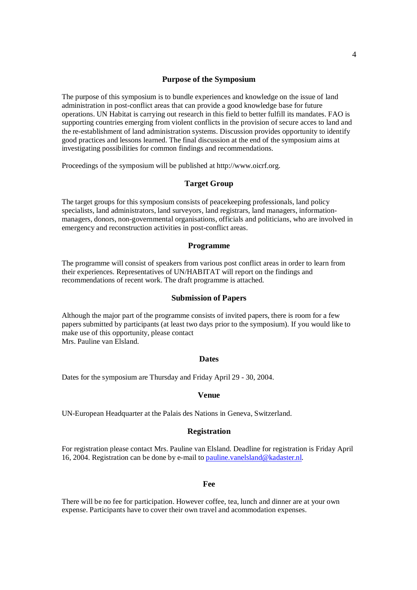#### **Purpose of the Symposium**

The purpose of this symposium is to bundle experiences and knowledge on the issue of land administration in post-conflict areas that can provide a good knowledge base for future operations. UN Habitat is carrying out research in this field to better fulfill its mandates. FAO is supporting countries emerging from violent conflicts in the provision of secure acces to land and the re-establishment of land administration systems. Discussion provides opportunity to identify good practices and lessons learned. The final discussion at the end of the symposium aims at investigating possibilities for common findings and recommendations.

Proceedings of the symposium will be published at http://www.oicrf.org.

#### **Target Group**

The target groups for this symposium consists of peacekeeping professionals, land policy specialists, land administrators, land surveyors, land registrars, land managers, informationmanagers, donors, non-governmental organisations, officials and politicians, who are involved in emergency and reconstruction activities in post-conflict areas.

#### **Programme**

The programme will consist of speakers from various post conflict areas in order to learn from their experiences. Representatives of UN/HABITAT will report on the findings and recommendations of recent work. The draft programme is attached.

#### **Submission of Papers**

Although the major part of the programme consists of invited papers, there is room for a few papers submitted by participants (at least two days prior to the symposium). If you would like to make use of this opportunity, please contact Mrs. Pauline van Elsland.

#### **Dates**

Dates for the symposium are Thursday and Friday April 29 - 30, 2004.

#### **Venue**

UN-European Headquarter at the Palais des Nations in Geneva, Switzerland.

#### **Registration**

For registration please contact Mrs. Pauline van Elsland. Deadline for registration is Friday April 16, 2004. Registration can be done by e-mail to pauline.vanelsland@kadaster.nl.

#### **Fee**

There will be no fee for participation. However coffee, tea, lunch and dinner are at your own expense. Participants have to cover their own travel and acommodation expenses.